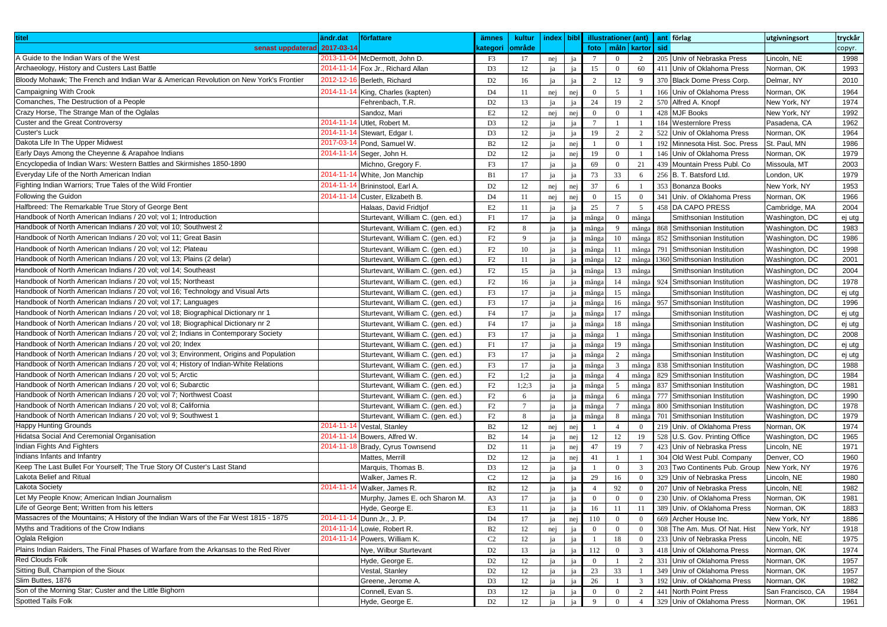| titel                                                                                   | ändr.dat<br>författare                    | ämnes          | kultur         | index bibl |          |                        |                 | illustrationer (ant) |     | ant förlag                     | utgivningsort     | tryckår |
|-----------------------------------------------------------------------------------------|-------------------------------------------|----------------|----------------|------------|----------|------------------------|-----------------|----------------------|-----|--------------------------------|-------------------|---------|
| senast uppdaterad 2017-03-14                                                            |                                           | kategori       | område         |            |          | foto                   | måln            | kartor               | sid |                                |                   | copyr.  |
| A Guide to the Indian Wars of the West                                                  | 2013-11-04<br>McDermott, John D.          | F3             | 17             | nej        | ja       | $7\overline{ }$        | $\overline{0}$  | 2                    |     | 205 Univ of Nebraska Press     | Lincoln, NE       | 1998    |
| Archaeology, History and Custers Last Battle                                            | 2014-11-14<br>Fox Jr., Richard Allan      | D <sub>3</sub> | 12             | ja         | ja       | 15                     | $\bf{0}$        | 60                   |     | 411 Univ of Oklahoma Press     | Norman, OK        | 1993    |
| Bloody Mohawk; The French and Indian War & American Revolution on New York's Frontier   | 2012-12-16<br>Berleth, Richard            | D <sub>2</sub> | 16             | ja         | ja       | 2                      | 12              | 9                    |     | 370 Black Dome Press Corp.     | Delmar, NY        | 2010    |
| <b>Campaigning With Crook</b>                                                           | $2014 - 11 - 1$<br>King, Charles (kapten) | D <sub>4</sub> | 11             |            |          | $\mathbf{0}$           | 5               | $\overline{1}$       |     | 166 Univ of Oklahoma Press     | Norman, OK        | 1964    |
| Comanches, The Destruction of a People                                                  |                                           |                |                | nej        | nej      |                        | 19              |                      |     | 570 Alfred A. Knopf            |                   | 1974    |
| Crazy Horse, The Strange Man of the Oglalas                                             | Fehrenbach, T.R.                          | D <sub>2</sub> | 13             | ja         | ja       | 24                     |                 | 2                    |     | 428 MJF Books                  | New York, NY      |         |
| Custer and the Great Controversy                                                        | Sandoz, Mari<br>2014-11-14                | E2             | 12             | nej        | nej      | $\mathbf{0}$           | $\overline{0}$  | $\mathbf{1}$         |     |                                | New York, NY      | 1992    |
| Custer's Luck                                                                           | Utlet, Robert M.<br>2014-11-1             | D <sub>3</sub> | 12             | ja         | ja       | $7\overline{ }$        | $\mathbf{1}$    | $\mathbf{1}$         |     | 184 Westernlore Press          | Pasadena, CA      | 1962    |
| Dakota Life In The Upper Midwest                                                        | Stewart, Edgar I                          | D <sub>3</sub> | 12             | ja         | ja       | 19                     | 2               | 2                    |     | 522 Univ of Oklahoma Press     | Norman, OK        | 1964    |
|                                                                                         | 2017-03-1<br>Pond, Samuel W.              | B2             | 12             | ja         | nej      | $\mathbf{1}$           | $\overline{0}$  | $\mathbf{1}$         |     | 192 Minnesota Hist. Soc. Press | St. Paul, MN      | 1986    |
| Early Days Among the Cheyenne & Arapahoe Indians                                        | 2014-11-1<br>Seger, John H.               | D <sub>2</sub> | 12             | ja         | nej      | 19                     | $\mathbf{0}$    | $\mathbf{1}$         |     | 146 Univ of Oklahoma Press     | Norman, OK        | 1979    |
| Encyclopedia of Indian Wars: Western Battles and Skirmishes 1850-1890                   | Michno, Gregory F.                        | F3             | 17             | ja         | ja       | 69                     | $\mathbf{0}$    | 21                   |     | 439 Mountain Press Publ. Co    | Missoula, MT      | 2003    |
| Everyday Life of the North American Indian                                              | 2014-11-14<br>White, Jon Manchip          | B1             | 17             | ja         | ja       | 73                     | 33              | 6                    |     | 256 B. T. Batsford Ltd         | _ondon, UK        | 1979    |
| Fighting Indian Warriors; True Tales of the Wild Frontier                               | $2014 - 11 - 1$<br>Brininstool, Earl A.   | D <sub>2</sub> | 12             | nej        | nej      | 37                     | 6               | $\overline{1}$       |     | 353 Bonanza Books              | New York, NY      | 1953    |
| Following the Guidon                                                                    | 2014-11-1<br>Custer, Elizabeth B          | D <sub>4</sub> | 11             | nej        | nej      | $\mathbf{0}$           | 15              | $\overline{0}$       |     | 341 Univ. of Oklahoma Press    | Norman, OK        | 1966    |
| Halfbreed: The Remarkable True Story of George Bent                                     | Halaas, David Fridtjof                    | E2             | 11             | ja         | ia       | 25                     | $7\overline{ }$ | 5                    |     | 458 DA CAPO PRESS              | Cambridge, MA     | 2004    |
| Handbook of North American Indians / 20 vol; vol 1; Introduction                        | Sturtevant, William C. (gen. ed.)         | F1             | 17             | ja         | jа       | många                  | $\overline{0}$  | många                |     | Smithsonian Institution        | Washington, DC    | ej utg  |
| Handbook of North American Indians / 20 vol; vol 10; Southwest 2                        | Sturtevant, William C. (gen. ed.)         | F2             | 8              | ja         | jя       | många                  | -9              | många                |     | 868 Smithsonian Institution    | Washington, DC    | 1983    |
| Handbook of North American Indians / 20 vol; vol 11; Great Basin                        | Sturtevant, William C. (gen. ed.)         | F2             | 9              | ia         |          | många                  | 10              | många                |     | 852 Smithsonian Institution    | Washington, DC    | 1986    |
| Handbook of North American Indians / 20 vol; vol 12; Plateau                            | Sturtevant, William C. (gen. ed.)         | F2             | 10             | ja         |          | många                  | 11              | många                |     | 791 Smithsonian Institution    | Washington, DC    | 1998    |
| Handbook of North American Indians / 20 vol; vol 13; Plains (2 delar)                   | Sturtevant, William C. (gen. ed.)         | F2             | 11             | ja         | jя       | många                  | 12              | många                |     | 1360 Smithsonian Institution   | Washington, DC    | 2001    |
| Handbook of North American Indians / 20 vol; vol 14; Southeast                          | Sturtevant, William C. (gen. ed.)         | F2             | 15             | ja         | jа       | många                  | 13              | många                |     | Smithsonian Institution        | Washington, DC    | 2004    |
| Handbook of North American Indians / 20 vol; vol 15; Northeast                          | Sturtevant, William C. (gen. ed.)         | F2             | 16             | ja         |          |                        | 14              |                      |     | 924 Smithsonian Institution    | Washington, DC    | 1978    |
| Handbook of North American Indians / 20 vol; vol 16; Technology and Visual Arts         | Sturtevant, William C. (gen. ed.)         | F3             | 17             | ja         | ia<br>ia | många<br>$\rm m\AA{g}$ | 15              | många<br>många       |     | Smithsonian Institution        | Washington, DC    | ej utg  |
| Handbook of North American Indians / 20 vol; vol 17; Languages                          | Sturtevant, William C. (gen. ed.)         | F3             | 17             | ja         |          | många                  | 16              | många                |     | 957 Smithsonian Institution    | Washington, DC    | 1996    |
| Handbook of North American Indians / 20 vol; vol 18; Biographical Dictionary nr 1       |                                           |                |                |            | ja       |                        |                 |                      |     |                                |                   |         |
|                                                                                         | Sturtevant, William C. (gen. ed.)         | F <sub>4</sub> | 17             | ja         | jя       | många                  | 17              | många                |     | Smithsonian Institution        | Washington, DC    | ej utg  |
| Handbook of North American Indians / 20 vol; vol 18; Biographical Dictionary nr 2       | Sturtevant, William C. (gen. ed.)         | F4             | 17             | ja         |          | många                  | 18              | många                |     | Smithsonian Institution        | Washington, DC    | ej utg  |
| Handbook of North American Indians / 20 vol; vol 2; Indians in Contemporary Society     | Sturtevant, William C. (gen. ed.)         | F3             | 17             | ja         | jа       | många                  |                 | många                |     | Smithsonian Institution        | Washington, DC    | 2008    |
| Handbook of North American Indians / 20 vol; vol 20; Index                              | Sturtevant, William C. (gen. ed.)         | F1             | 17             | ja         |          | många                  | 19              | många                |     | Smithsonian Institution        | Washington, DC    | ej utg  |
| Handbook of North American Indians / 20 vol; vol 3; Environment, Origins and Population | Sturtevant, William C. (gen. ed.)         | F3             | 17             | ja         |          | många                  | 2               | många                |     | Smithsonian Institution        | Washington, DC    | ej utg  |
| Handbook of North American Indians / 20 vol; vol 4; History of Indian-White Relations   | Sturtevant, William C. (gen. ed.)         | F3             | 17             | ja         |          | många                  | $\mathfrak{Z}$  | många                |     | 838 Smithsonian Institution    | Washington, DC    | 1988    |
| Handbook of North American Indians / 20 vol; vol 5; Arctic                              | Sturtevant, William C. (gen. ed.)         | F2             | 1:2            | ja         | ja       | många                  | $\overline{4}$  | många                |     | 829 Smithsonian Institution    | Washington, DC    | 1984    |
| Handbook of North American Indians / 20 vol; vol 6; Subarctic                           | Sturtevant, William C. (gen. ed.)         | F2             | 1;2;3          | ja         | jа       | många                  | 5               | många                |     | 837 Smithsonian Institution    | Washington, DC    | 1981    |
| Handbook of North American Indians / 20 vol; vol 7; Northwest Coast                     | Sturtevant, William C. (gen. ed.)         | F2             | 6              | ja         | ia       | många                  | 6               | många                |     | 777 Smithsonian Institution    | Washington, DC    | 1990    |
| Handbook of North American Indians / 20 vol; vol 8; California                          | Sturtevant, William C. (gen. ed.)         | F2             | $\overline{7}$ | ja         |          | många                  | $\overline{7}$  | många                |     | 800 Smithsonian Institution    | Washington, DC    | 1978    |
| Handbook of North American Indians / 20 vol; vol 9; Southwest 1                         | Sturtevant, William C. (gen. ed.)         | F2             | 8              | ja         | ia       | många                  | 8               | många                |     | 701 Smithsonian Institution    | Washington, DC    | 1979    |
| <b>Happy Hunting Grounds</b>                                                            | 2014-11-14<br>Vestal, Stanley             | B2             | 12             | nej        | nej      | -1                     | $\overline{4}$  | $\overline{0}$       |     | 219 Univ. of Oklahoma Press    | Norman, OK        | 1974    |
| Hidatsa Social And Ceremonial Organisation                                              | 2014-11-1<br>Bowers, Alfred W.            | B2             | 14             | ja         | nej      | 12                     | 12              | 19                   |     | 528 U.S. Gov. Printing Office  | Washington, DC    | 1965    |
| Indian Fights And Fighters                                                              | 2014-11-1<br>Brady, Cyrus Townsend        | D <sub>2</sub> | 11             | ja         | nej      | 47                     | 19              | $\overline{7}$       |     | 423 Univ of Nebraska Press     | Lincoln, NE       | 1971    |
| Indians Infants and Infantry                                                            | Mattes, Merrill                           | D <sub>2</sub> | 12             | ja         | nej      | 41                     | $\mathbf{1}$    | $\overline{1}$       |     | 304 Old West Publ. Company     | Denver, CO        | 1960    |
| Keep The Last Bullet For Yourself; The True Story Of Custer's Last Stand                | Marquis, Thomas B.                        | D <sub>3</sub> | 12             | ja         | ja       | -1                     | $\overline{0}$  | $\overline{3}$       |     | 203 Two Continents Pub. Group  | New York, NY      | 1976    |
| Lakota Belief and Ritual                                                                | Walker, James R.                          | C2             | 12             | ja         | ja       | 29                     | 16              | $\mathbf{0}$         |     | 329 Univ of Nebraska Press     | Lincoln, NE       | 1980    |
| Lakota Society                                                                          | 2014-11-1<br>Walker, James R.             | B2             | 12             | ja         | ja       | $\overline{4}$         | 92              | $\mathbf{0}$         |     | 207 Univ of Nebraska Press     | Lincoln, NE       | 1982    |
| Let My People Know; American Indian Journalism                                          | Murphy, James E. och Sharon M.            | A3             | 17             | ja         | ia       | $\overline{0}$         | $\overline{0}$  | $\mathbf{0}$         |     | 230 Univ. of Oklahoma Press    | Norman, OK        | 1981    |
| Life of George Bent; Written from his letters                                           | Hyde, George E.                           | E3             | 11             | ja         | ja       | 16                     | 11              | 11                   |     | 389 Univ. of Oklahoma Press    | Norman, OK        | 1883    |
| Massacres of the Mountains; A History of the Indian Wars of the Far West 1815 - 1875    | $2014 - 11 - 1$<br>Dunn Jr., J. P.        | D4             | 17             | ja         | nej      | 110                    | $\overline{0}$  | $\overline{0}$       |     | 669 Archer House Inc.          | New York, NY      | 1886    |
| Myths and Traditions of the Crow Indians                                                | 2014-11-1<br>Lowie, Robert R.             | B2             | 12             | nej        | ja       | $\mathbf{0}$           | $\overline{0}$  | $\overline{0}$       |     | 308 The Am. Mus. Of Nat. Hist  | New York, NY      | 1918    |
| Oglala Religion                                                                         | 2014-11-1<br>Powers, William K.           | C2             | 12             | ja         | ja       |                        | 18              | $\mathbf{0}$         |     | 233 Univ of Nebraska Press     | Lincoln, NE       | 1975    |
| Plains Indian Raiders, The Final Phases of Warfare from the Arkansas to the Red River   | Nye, Wilbur Sturtevant                    | D <sub>2</sub> | 13             | ja         | ja       | 112                    | $\mathbf{0}$    | $\mathbf{3}$         |     | 418 Univ of Oklahoma Press     | Norman, OK        | 1974    |
| <b>Red Clouds Folk</b>                                                                  | Hyde, George E.                           | D <sub>2</sub> | 12             | ja         | ia       | $\mathbf{0}$           |                 | $\overline{2}$       |     | 331 Univ of Oklahoma Press     | Norman, OK        | 1957    |
| Sitting Bull, Champion of the Sioux                                                     | Vestal, Stanley                           | D <sub>2</sub> | 12             | ja         | ja       | 23                     | 33              | $\overline{1}$       |     | 349 Univ of Oklahoma Press     | Norman, OK        | 1957    |
| Slim Buttes, 1876                                                                       | Greene, Jerome A.                         | D <sub>3</sub> | 12             | ja         | ja       | 26                     |                 | $\overline{3}$       |     | 192 Univ. of Oklahoma Press    | Norman, OK        | 1982    |
| Son of the Morning Star; Custer and the Little Bighorn                                  | Connell, Evan S.                          | D <sub>3</sub> | 12             | ja         | ia       | $\mathbf{0}$           | $\mathbf{0}$    | 2                    |     | 441 North Point Press          | San Francisco, CA | 1984    |
| Spotted Tails Folk                                                                      | Hyde, George E.                           | $\mathbf{D}2$  | 12             | ja         |          | 9                      | $\overline{0}$  | $\overline{4}$       |     | 329 Univ of Oklahoma Press     | Norman, OK        | 1961    |
|                                                                                         |                                           |                |                |            |          |                        |                 |                      |     |                                |                   |         |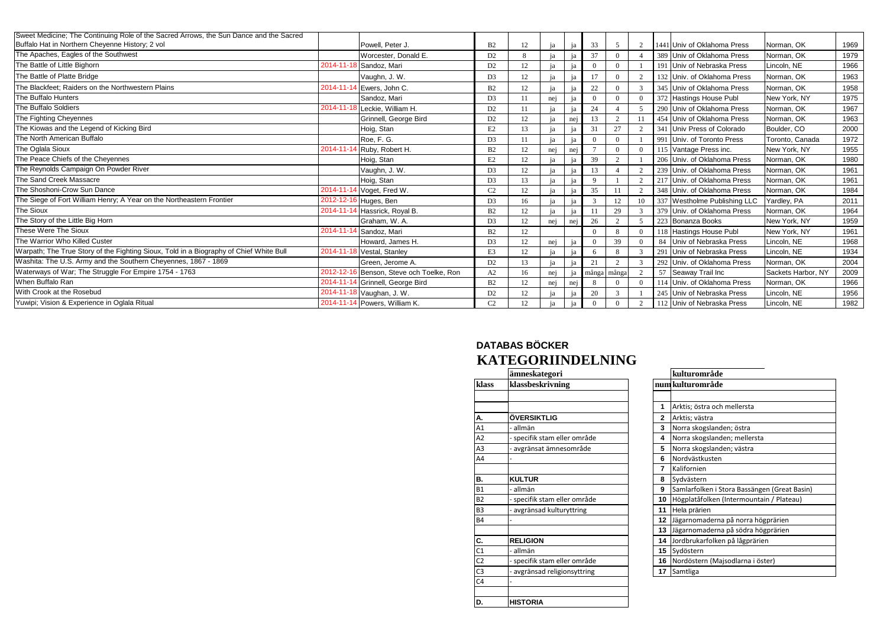| Sweet Medicine; The Continuing Role of the Sacred Arrows, the Sun Dance and the Sacred |            |                                  |                |    |     |     |          |                |          |                              |                    |      |
|----------------------------------------------------------------------------------------|------------|----------------------------------|----------------|----|-----|-----|----------|----------------|----------|------------------------------|--------------------|------|
| Buffalo Hat in Northern Cheyenne History; 2 vol                                        |            | Powell. Peter J.                 | B2             | 12 | iя  | iя  | 33       | 5              | 2        | 1441 Univ of Oklahoma Press  | Norman, OK         | 1969 |
| The Apaches, Eagles of the Southwest                                                   |            | Worcester, Donald E.             | D <sub>2</sub> | 8  |     | ia  | 37       | $\overline{0}$ |          | 389 Univ of Oklahoma Press   | Norman, OK         | 1979 |
| The Battle of Little Bighorn                                                           |            | 2014-11-18 Sandoz, Mari          | D <sub>2</sub> | 12 | iа  | iа  | $\Omega$ | $\overline{0}$ |          | 191 Univ of Nebraska Press   | Lincoln, NE        | 1966 |
| The Battle of Platte Bridge                                                            |            | Vaughn, J. W.                    | D3             | 12 | ia  | ia  | 17       | $\overline{0}$ |          | 132 Univ. of Oklahoma Press  | Norman, OK         | 1963 |
| The Blackfeet: Raiders on the Northwestern Plains                                      |            | 2014-11-14 Ewers, John C.        | B2             | 12 | ia  | iя  | 22       | $\overline{0}$ | 3        | 345 Univ of Oklahoma Press   | Norman, OK         | 1958 |
| The Buffalo Hunters                                                                    |            | Sandoz. Mari                     | D <sub>3</sub> |    | nej |     |          | $\Omega$       | $\Omega$ | 372 Hastings House Publ      | New York, NY       | 1975 |
| The Buffalo Soldiers                                                                   |            | 2014-11-18 Leckie, William H.    | D <sub>2</sub> |    | iа  |     | 24       |                | 5        | 290 Univ of Oklahoma Press   | Norman, OK         | 1967 |
| The Fighting Cheyennes                                                                 |            | Grinnell, George Bird            | D <sub>2</sub> | 12 |     | nei | 13       | 2              | 11       | 454 Univ of Oklahoma Press   | Norman, OK         | 1963 |
| The Kiowas and the Legend of Kicking Bird                                              |            | Hoig, Stan                       | E2             | 13 | ia  | ia  | 31       | 27             | 2        | 341 Univ Press of Colorado   | Boulder, CO        | 2000 |
| The North American Buffalo                                                             |            | Roe. F. G.                       | D <sub>3</sub> |    |     | jа  |          | $\Omega$       |          | 991 Univ. of Toronto Press   | Toronto, Canada    | 1972 |
| The Oglala Sioux                                                                       | 2014-11-14 | <sup>4</sup> Ruby, Robert H.     | B2             | 12 | nej | nei |          | $\overline{0}$ | $\Omega$ | 115 Vantage Press inc.       | New York, NY       | 1955 |
| The Peace Chiefs of the Cheyennes                                                      |            | Hoig, Stan                       | E <sub>2</sub> | 12 |     | jя  | 39       | 2              |          | 206 Univ. of Oklahoma Press  | Norman, OK         | 1980 |
| The Reynolds Campaign On Powder River                                                  |            | Vaughn, J. W.                    | D <sub>3</sub> | 12 | ia  | ia  | 13       |                | 2        | 239 Univ. of Oklahoma Press  | Norman, OK         | 1961 |
| The Sand Creek Massacre                                                                |            | Hoig, Stan                       | D3             | 13 | iя  |     | $\Omega$ |                | $\gamma$ | 217 Univ. of Oklahoma Press  | Norman, OK         | 1961 |
| The Shoshoni-Crow Sun Dance                                                            |            | 2014-11-14 Voget, Fred W.        | C <sub>2</sub> | 12 | iа  |     | 35       | 11             | 2        | 348 Univ. of Oklahoma Press  | Norman, OK         | 1984 |
| The Siege of Fort William Henry; A Year on the Northeastern Frontier                   |            | 2012-12-16 Huges, Ben            | D <sub>3</sub> | 16 |     | ia  |          | 12             | 10       | 337 Westholme Publishing LLC | Yardley, PA        | 2011 |
| The Sioux                                                                              | 2014-11-14 | Hassrick, Royal B.               | B2             | 12 | ia  | ia  | 11       | 29             |          | 379 Univ. of Oklahoma Press  | Norman, OK         | 1964 |
| The Story of the Little Big Horn                                                       |            | Graham, W. A.                    | D <sub>3</sub> | 12 | nej | nei | 26       | 2              |          | 223 Bonanza Books            | New York, NY       | 1959 |
| These Were The Sioux                                                                   |            | 2014-11-14 Sandoz, Mari          | B2             | 12 |     |     |          | 8              | $\Omega$ | 118 Hastings House Publ      | New York, NY       | 1961 |
| The Warrior Who Killed Custer                                                          |            | Howard, James H.                 | D3             | 12 | nej | jа  |          | 39             |          | 84 Univ of Nebraska Press    | Lincoln, NE        | 1968 |
| Warpath; The True Story of the Fighting Sioux, Told in a Biography of Chief White Bull | 2014-11-18 | Vestal, Stanley                  | E3             | 12 | ia  | ia  | 6        | 8              | 3        | 291 Univ of Nebraska Press   | Lincoln, NE        | 1934 |
| Washita: The U.S. Army and the Southern Cheyennes, 1867 - 1869                         |            | Green. Jerome A.                 | D <sub>2</sub> | 13 |     |     | 21       | 2              |          | 292 Univ. of Oklahoma Press  | Norman, OK         | 2004 |
| Waterways of War; The Struggle For Empire 1754 - 1763                                  | 2012-12-16 | Benson, Steve och Toelke, Ron    | A2             | 16 | nei |     |          | många många    |          | 57 Seaway Trail Inc          | Sackets Harbor, NY | 2009 |
| When Buffalo Ran                                                                       |            | 2014-11-14 Grinnell, George Bird | B2             | 12 | nej | nei |          | $\Omega$       | $\Omega$ | 114 Univ. of Oklahoma Press  | Norman, OK         | 1966 |
| With Crook at the Rosebud                                                              |            | 2014-11-18 Vaughan, J. W.        | D <sub>2</sub> | 12 |     | jа  | 20       | 3              |          | 245 Univ of Nebraska Press   | Lincoln, NE        | 1956 |
| Yuwipi; Vision & Experience in Oglala Ritual                                           |            | 2014-11-14 Powers, William K.    | C <sub>2</sub> | 12 | 12  | ia  | $\theta$ | $\Omega$       |          | 112 Univ of Nebraska Press   | Lincoln, NE        | 1982 |

## **DATABAS BÖCKER KATEGORIINDELNING**

|                | ämneskategori                |              | kulturområde                         |
|----------------|------------------------------|--------------|--------------------------------------|
| klass          | klassbeskrivning             |              | num kulturområde                     |
|                |                              |              |                                      |
|                |                              | 1            | Arktis; östra och mellersta          |
| А.             | ÖVERSIKTLIG                  | $\mathbf{2}$ | Arktis; västra                       |
| A1             | allmän                       | 3            | Norra skogslanden; östra             |
| A <sub>2</sub> | - specifik stam eller område | 4            | Norra skogslanden; mellersta         |
| A <sub>3</sub> | avgränsat ämnesområde        | 5            | Norra skogslanden; västra            |
| A4             |                              | 6            | Nordvästkusten                       |
|                |                              | 7            | Kalifornien                          |
| В.             | <b>KULTUR</b>                | 8            | Sydvästern                           |
| <b>B1</b>      | - allmän                     | 9            | Samlarfolken i Stora Bassängen (Grea |
| <b>B2</b>      | - specifik stam eller område | 10           | Högplatåfolken (Intermountain / Plat |
| B <sub>3</sub> | - avgränsad kulturyttring    | 11           | Hela prärien                         |
| <b>B4</b>      |                              | 12           | Jägarnomaderna på norra högprärien   |
|                |                              | 13           | Jägarnomaderna på södra högprärien   |
| C.             | <b>RELIGION</b>              | 14           | Jordbrukarfolken på lågprärien       |
|                | allmän                       | 15           | Sydöstern                            |
| $rac{C1}{C2}$  | - specifik stam eller område | 16           | Nordöstern (Majsodlarna i öster)     |
| C <sub>3</sub> | avgränsad religionsyttring   | 17           | Samtliga                             |
| C <sub>4</sub> |                              |              |                                      |
|                |                              |              |                                      |
| D.             | <b>HISTORIA</b>              |              |                                      |

|               | ämneskategori                | kulturområde                                      |
|---------------|------------------------------|---------------------------------------------------|
| klass         | klassbeskrivning             | num kulturområde                                  |
|               |                              |                                                   |
|               |                              | Arktis; östra och mellersta<br>1                  |
| А.            | ÖVERSIKTLIG                  | 2<br>Arktis; västra                               |
| Α1            | - allmän                     | Norra skogslanden; östra<br>3                     |
| А2            | - specifik stam eller område | Norra skogslanden; mellersta<br>4                 |
| A3            | - avgränsat ämnesområde      | Norra skogslanden; västra<br>5                    |
| A4            |                              | Nordvästkusten<br>6                               |
|               |                              | Kalifornien<br>7                                  |
| В.            | <b>KULTUR</b>                | 8<br>Sydvästern                                   |
| Β1            | - allmän                     | 9<br>Samlarfolken i Stora Bassängen (Great Basin) |
| <b>B2</b>     | - specifik stam eller område | Högplatåfolken (Intermountain / Plateau)<br>10    |
| B3            | - avgränsad kulturyttring    | Hela prärien<br>11                                |
| Β4            |                              | 12<br>Jägarnomaderna på norra högprärien          |
|               |                              | Jägarnomaderna på södra högprärien<br>13          |
| <u>c.</u>     | <b>RELIGION</b>              | Jordbrukarfolken på lågprärien<br>14              |
| $rac{C1}{C2}$ | - allmän                     | Sydöstern<br>15                                   |
|               | - specifik stam eller område | Nordöstern (Majsodlarna i öster)<br>16            |
| C3            | - avgränsad religionsyttring | 17<br>Samtliga                                    |